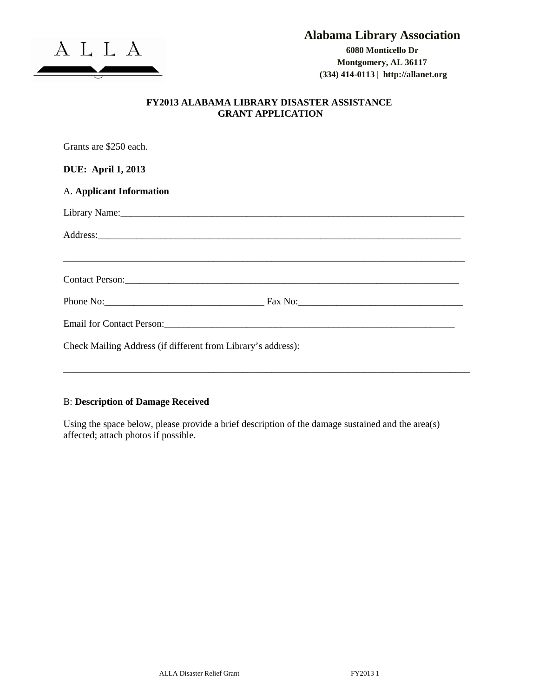

**(334) 414-0113 | http://allanet.org**

## **FY2013 ALABAMA LIBRARY DISASTER ASSISTANCE GRANT APPLICATION**

| Grants are \$250 each.                                                                                                                                                                                                         |  |
|--------------------------------------------------------------------------------------------------------------------------------------------------------------------------------------------------------------------------------|--|
| <b>DUE: April 1, 2013</b>                                                                                                                                                                                                      |  |
| A. Applicant Information                                                                                                                                                                                                       |  |
| Library Name: 1988. [19] Mannes 2014. [19] Mannes 2014. [19] Mannes 2014. [19] Mannes 2014. [19] Mannes 2014. [19] Mannes 2014. [19] Mannes 2014. [19] Mannes 2014. [19] Mannes 2014. [19] Mannes 2014. [19] Mannes 2014. [19] |  |
| Address: Address:                                                                                                                                                                                                              |  |
|                                                                                                                                                                                                                                |  |
|                                                                                                                                                                                                                                |  |
|                                                                                                                                                                                                                                |  |
| Check Mailing Address (if different from Library's address):                                                                                                                                                                   |  |

## B: **Description of Damage Received**

Using the space below, please provide a brief description of the damage sustained and the area(s) affected; attach photos if possible.